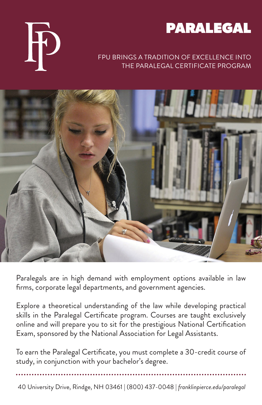



## FPU BRINGS A TRADITION OF EXCELLENCE INTO THE PARALEGAL CERTIFICATE PROGRAM



Paralegals are in high demand with employment options available in law firms, corporate legal departments, and government agencies.

Explore a theoretical understanding of the law while developing practical skills in the Paralegal Certificate program. Courses are taught exclusively online and will prepare you to sit for the prestigious National Certification Exam, sponsored by the National Association for Legal Assistants.

To earn the Paralegal Certificate, you must complete a 30-credit course of study, in conjunction with your bachelor's degree.

40 University Drive, Rindge, NH 03461 | (800) 437-0048 | *franklinpierce.edu/paralegal*